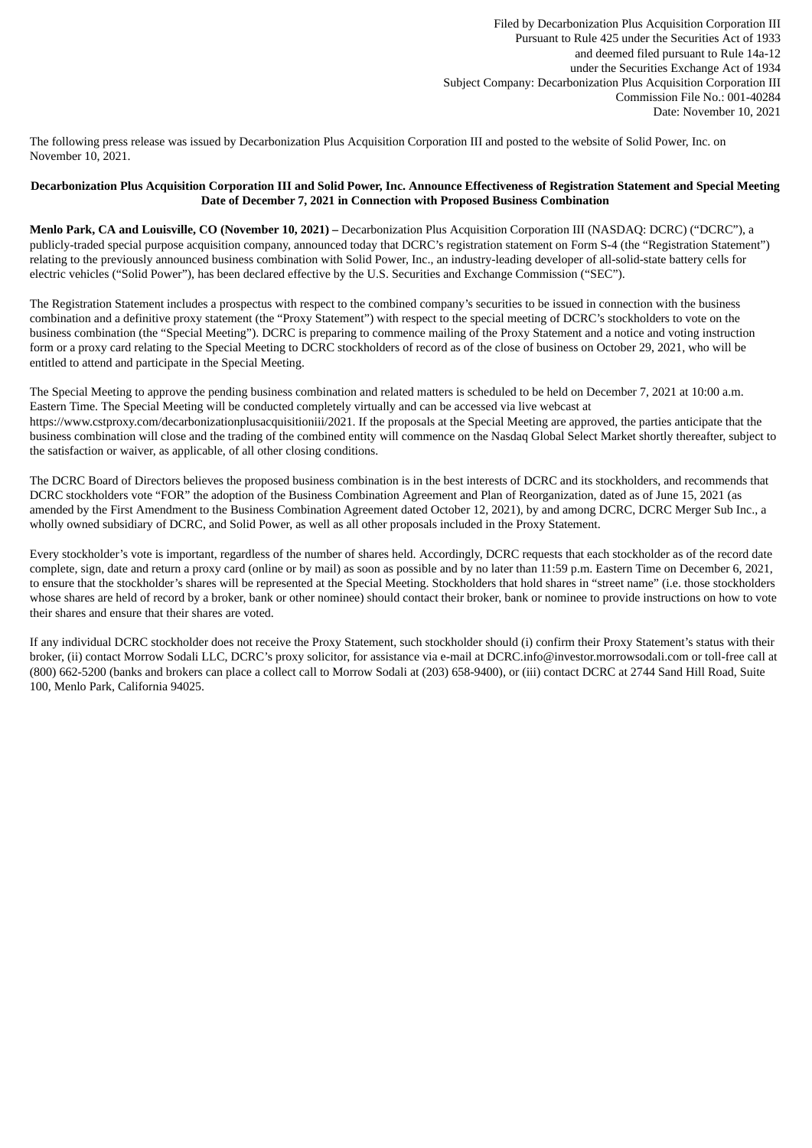The following press release was issued by Decarbonization Plus Acquisition Corporation III and posted to the website of Solid Power, Inc. on November 10, 2021.

### Decarbonization Plus Acquisition Corporation III and Solid Power, Inc. Announce Effectiveness of Registration Statement and Special Meeting **Date of December 7, 2021 in Connection with Proposed Business Combination**

**Menlo Park, CA and Louisville, CO (November 10, 2021) –** Decarbonization Plus Acquisition Corporation III (NASDAQ: DCRC) ("DCRC"), a publicly-traded special purpose acquisition company, announced today that DCRC's registration statement on Form S-4 (the "Registration Statement") relating to the previously announced business combination with Solid Power, Inc., an industry-leading developer of all-solid-state battery cells for electric vehicles ("Solid Power"), has been declared effective by the U.S. Securities and Exchange Commission ("SEC").

The Registration Statement includes a prospectus with respect to the combined company's securities to be issued in connection with the business combination and a definitive proxy statement (the "Proxy Statement") with respect to the special meeting of DCRC's stockholders to vote on the business combination (the "Special Meeting"). DCRC is preparing to commence mailing of the Proxy Statement and a notice and voting instruction form or a proxy card relating to the Special Meeting to DCRC stockholders of record as of the close of business on October 29, 2021, who will be entitled to attend and participate in the Special Meeting.

The Special Meeting to approve the pending business combination and related matters is scheduled to be held on December 7, 2021 at 10:00 a.m. Eastern Time. The Special Meeting will be conducted completely virtually and can be accessed via live webcast at https://www.cstproxy.com/decarbonizationplusacquisitioniii/2021. If the proposals at the Special Meeting are approved, the parties anticipate that the business combination will close and the trading of the combined entity will commence on the Nasdaq Global Select Market shortly thereafter, subject to the satisfaction or waiver, as applicable, of all other closing conditions.

The DCRC Board of Directors believes the proposed business combination is in the best interests of DCRC and its stockholders, and recommends that DCRC stockholders vote "FOR" the adoption of the Business Combination Agreement and Plan of Reorganization, dated as of June 15, 2021 (as amended by the First Amendment to the Business Combination Agreement dated October 12, 2021), by and among DCRC, DCRC Merger Sub Inc., a wholly owned subsidiary of DCRC, and Solid Power, as well as all other proposals included in the Proxy Statement.

Every stockholder's vote is important, regardless of the number of shares held. Accordingly, DCRC requests that each stockholder as of the record date complete, sign, date and return a proxy card (online or by mail) as soon as possible and by no later than 11:59 p.m. Eastern Time on December 6, 2021, to ensure that the stockholder's shares will be represented at the Special Meeting. Stockholders that hold shares in "street name" (i.e. those stockholders whose shares are held of record by a broker, bank or other nominee) should contact their broker, bank or nominee to provide instructions on how to vote their shares and ensure that their shares are voted.

If any individual DCRC stockholder does not receive the Proxy Statement, such stockholder should (i) confirm their Proxy Statement's status with their broker, (ii) contact Morrow Sodali LLC, DCRC's proxy solicitor, for assistance via e-mail at DCRC.info@investor.morrowsodali.com or toll-free call at (800) 662-5200 (banks and brokers can place a collect call to Morrow Sodali at (203) 658-9400), or (iii) contact DCRC at 2744 Sand Hill Road, Suite 100, Menlo Park, California 94025.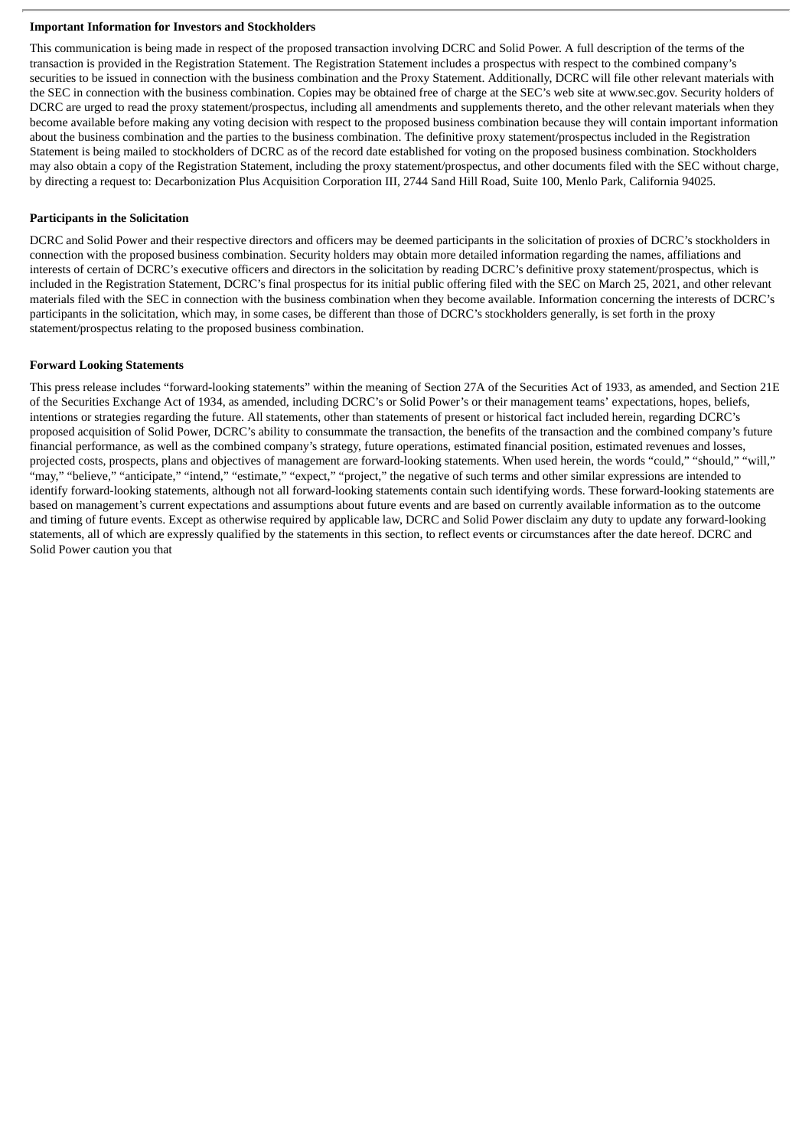# **Important Information for Investors and Stockholders**

This communication is being made in respect of the proposed transaction involving DCRC and Solid Power. A full description of the terms of the transaction is provided in the Registration Statement. The Registration Statement includes a prospectus with respect to the combined company's securities to be issued in connection with the business combination and the Proxy Statement. Additionally, DCRC will file other relevant materials with the SEC in connection with the business combination. Copies may be obtained free of charge at the SEC's web site at www.sec.gov. Security holders of DCRC are urged to read the proxy statement/prospectus, including all amendments and supplements thereto, and the other relevant materials when they become available before making any voting decision with respect to the proposed business combination because they will contain important information about the business combination and the parties to the business combination. The definitive proxy statement/prospectus included in the Registration Statement is being mailed to stockholders of DCRC as of the record date established for voting on the proposed business combination. Stockholders may also obtain a copy of the Registration Statement, including the proxy statement/prospectus, and other documents filed with the SEC without charge, by directing a request to: Decarbonization Plus Acquisition Corporation III, 2744 Sand Hill Road, Suite 100, Menlo Park, California 94025.

## **Participants in the Solicitation**

DCRC and Solid Power and their respective directors and officers may be deemed participants in the solicitation of proxies of DCRC's stockholders in connection with the proposed business combination. Security holders may obtain more detailed information regarding the names, affiliations and interests of certain of DCRC's executive officers and directors in the solicitation by reading DCRC's definitive proxy statement/prospectus, which is included in the Registration Statement, DCRC's final prospectus for its initial public offering filed with the SEC on March 25, 2021, and other relevant materials filed with the SEC in connection with the business combination when they become available. Information concerning the interests of DCRC's participants in the solicitation, which may, in some cases, be different than those of DCRC's stockholders generally, is set forth in the proxy statement/prospectus relating to the proposed business combination.

### **Forward Looking Statements**

This press release includes "forward-looking statements" within the meaning of Section 27A of the Securities Act of 1933, as amended, and Section 21E of the Securities Exchange Act of 1934, as amended, including DCRC's or Solid Power's or their management teams' expectations, hopes, beliefs, intentions or strategies regarding the future. All statements, other than statements of present or historical fact included herein, regarding DCRC's proposed acquisition of Solid Power, DCRC's ability to consummate the transaction, the benefits of the transaction and the combined company's future financial performance, as well as the combined company's strategy, future operations, estimated financial position, estimated revenues and losses, projected costs, prospects, plans and objectives of management are forward-looking statements. When used herein, the words "could," "should," "will," .<br>"may," "believe," "anticipate," "intend," "estimate," "expect," "project," the negative of such terms and other similar expressions are intended to identify forward-looking statements, although not all forward-looking statements contain such identifying words. These forward-looking statements are based on management's current expectations and assumptions about future events and are based on currently available information as to the outcome and timing of future events. Except as otherwise required by applicable law, DCRC and Solid Power disclaim any duty to update any forward-looking statements, all of which are expressly qualified by the statements in this section, to reflect events or circumstances after the date hereof. DCRC and Solid Power caution you that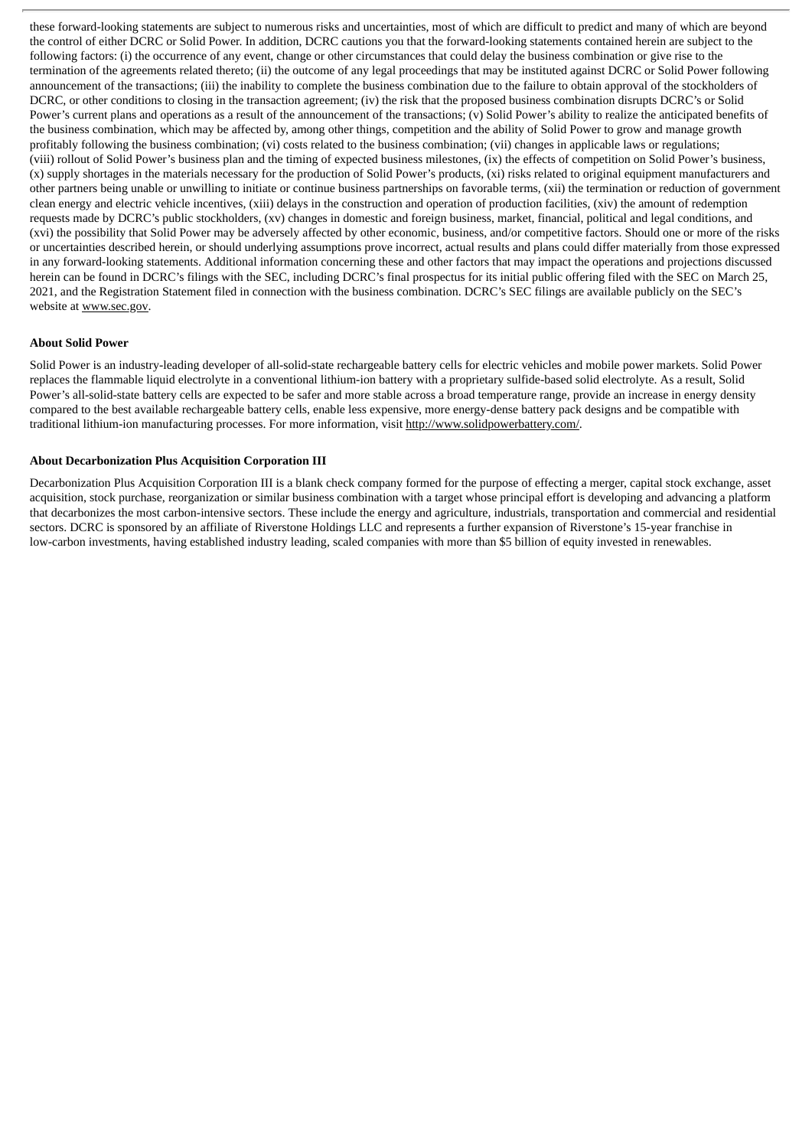these forward-looking statements are subject to numerous risks and uncertainties, most of which are difficult to predict and many of which are beyond the control of either DCRC or Solid Power. In addition, DCRC cautions you that the forward-looking statements contained herein are subject to the following factors: (i) the occurrence of any event, change or other circumstances that could delay the business combination or give rise to the termination of the agreements related thereto; (ii) the outcome of any legal proceedings that may be instituted against DCRC or Solid Power following announcement of the transactions; (iii) the inability to complete the business combination due to the failure to obtain approval of the stockholders of DCRC, or other conditions to closing in the transaction agreement; (iv) the risk that the proposed business combination disrupts DCRC's or Solid Power's current plans and operations as a result of the announcement of the transactions; (y) Solid Power's ability to realize the anticipated benefits of the business combination, which may be affected by, among other things, competition and the ability of Solid Power to grow and manage growth profitably following the business combination; (vi) costs related to the business combination; (vii) changes in applicable laws or regulations; (viii) rollout of Solid Power's business plan and the timing of expected business milestones, (ix) the effects of competition on Solid Power's business, (x) supply shortages in the materials necessary for the production of Solid Power's products, (xi) risks related to original equipment manufacturers and other partners being unable or unwilling to initiate or continue business partnerships on favorable terms, (xii) the termination or reduction of government clean energy and electric vehicle incentives, (xiii) delays in the construction and operation of production facilities, (xiv) the amount of redemption requests made by DCRC's public stockholders, (xv) changes in domestic and foreign business, market, financial, political and legal conditions, and (xvi) the possibility that Solid Power may be adversely affected by other economic, business, and/or competitive factors. Should one or more of the risks or uncertainties described herein, or should underlying assumptions prove incorrect, actual results and plans could differ materially from those expressed in any forward-looking statements. Additional information concerning these and other factors that may impact the operations and projections discussed herein can be found in DCRC's filings with the SEC, including DCRC's final prospectus for its initial public offering filed with the SEC on March 25, 2021, and the Registration Statement filed in connection with the business combination. DCRC's SEC filings are available publicly on the SEC's website at www.sec.gov.

### **About Solid Power**

Solid Power is an industry-leading developer of all-solid-state rechargeable battery cells for electric vehicles and mobile power markets. Solid Power replaces the flammable liquid electrolyte in a conventional lithium-ion battery with a proprietary sulfide-based solid electrolyte. As a result, Solid Power's all-solid-state battery cells are expected to be safer and more stable across a broad temperature range, provide an increase in energy density compared to the best available rechargeable battery cells, enable less expensive, more energy-dense battery pack designs and be compatible with traditional lithium-ion manufacturing processes. For more information, visit http://www.solidpowerbattery.com/.

#### **About Decarbonization Plus Acquisition Corporation III**

Decarbonization Plus Acquisition Corporation III is a blank check company formed for the purpose of effecting a merger, capital stock exchange, asset acquisition, stock purchase, reorganization or similar business combination with a target whose principal effort is developing and advancing a platform that decarbonizes the most carbon-intensive sectors. These include the energy and agriculture, industrials, transportation and commercial and residential sectors. DCRC is sponsored by an affiliate of Riverstone Holdings LLC and represents a further expansion of Riverstone's 15-year franchise in low-carbon investments, having established industry leading, scaled companies with more than \$5 billion of equity invested in renewables.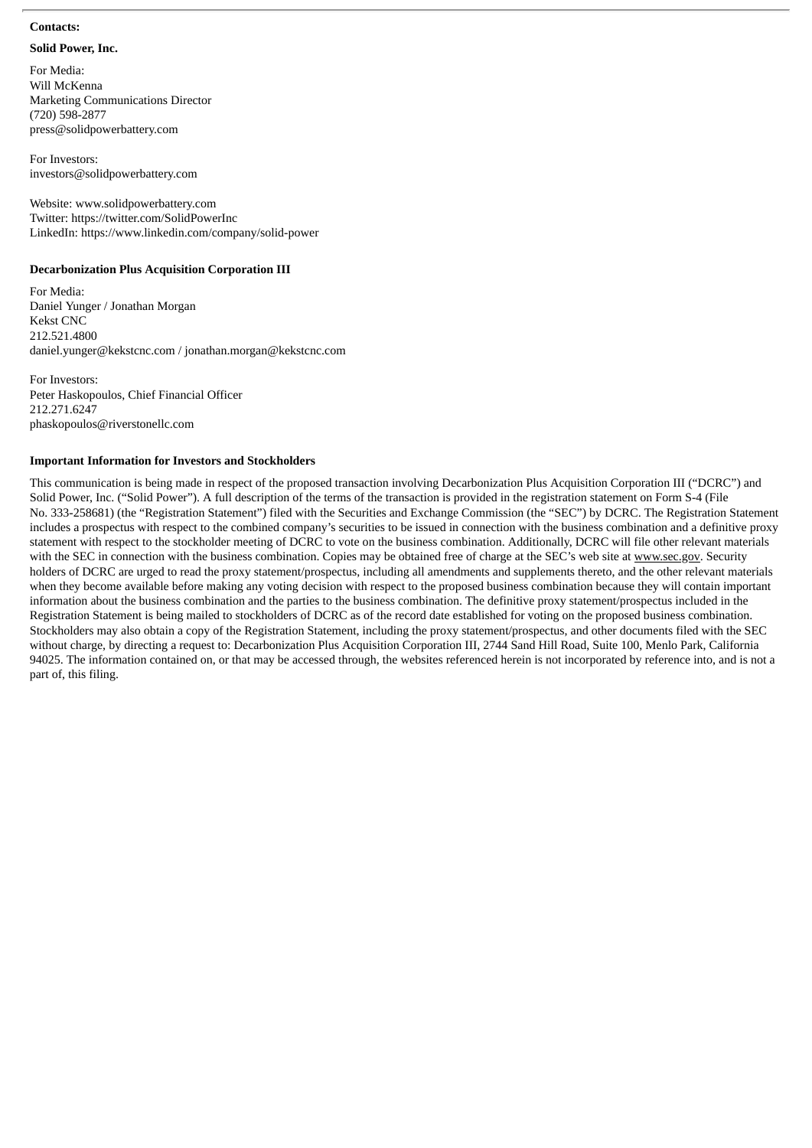# **Contacts:**

# **Solid Power, Inc.**

For Media: Will McKenna Marketing Communications Director (720) 598-2877 press@solidpowerbattery.com

For Investors: investors@solidpowerbattery.com

Website: www.solidpowerbattery.com Twitter: https://twitter.com/SolidPowerInc LinkedIn: https://www.linkedin.com/company/solid-power

# **Decarbonization Plus Acquisition Corporation III**

For Media: Daniel Yunger / Jonathan Morgan Kekst CNC 212.521.4800 daniel.yunger@kekstcnc.com / jonathan.morgan@kekstcnc.com

For Investors: Peter Haskopoulos, Chief Financial Officer 212.271.6247 phaskopoulos@riverstonellc.com

# **Important Information for Investors and Stockholders**

This communication is being made in respect of the proposed transaction involving Decarbonization Plus Acquisition Corporation III ("DCRC") and Solid Power, Inc. ("Solid Power"). A full description of the terms of the transaction is provided in the registration statement on Form S-4 (File No. 333-258681) (the "Registration Statement") filed with the Securities and Exchange Commission (the "SEC") by DCRC. The Registration Statement includes a prospectus with respect to the combined company's securities to be issued in connection with the business combination and a definitive proxy statement with respect to the stockholder meeting of DCRC to vote on the business combination. Additionally, DCRC will file other relevant materials with the SEC in connection with the business combination. Copies may be obtained free of charge at the SEC's web site at www.sec.gov. Security holders of DCRC are urged to read the proxy statement/prospectus, including all amendments and supplements thereto, and the other relevant materials when they become available before making any voting decision with respect to the proposed business combination because they will contain important information about the business combination and the parties to the business combination. The definitive proxy statement/prospectus included in the Registration Statement is being mailed to stockholders of DCRC as of the record date established for voting on the proposed business combination. Stockholders may also obtain a copy of the Registration Statement, including the proxy statement/prospectus, and other documents filed with the SEC without charge, by directing a request to: Decarbonization Plus Acquisition Corporation III, 2744 Sand Hill Road, Suite 100, Menlo Park, California 94025. The information contained on, or that may be accessed through, the websites referenced herein is not incorporated by reference into, and is not a part of, this filing.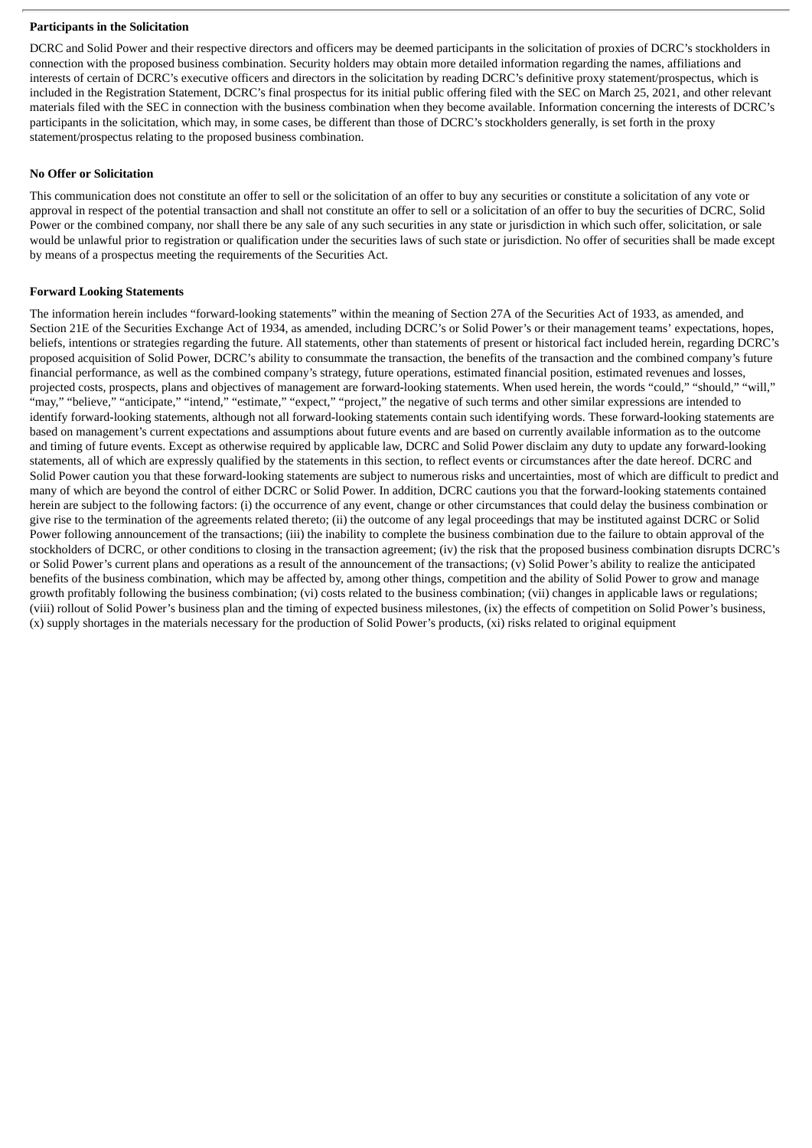### **Participants in the Solicitation**

DCRC and Solid Power and their respective directors and officers may be deemed participants in the solicitation of proxies of DCRC's stockholders in connection with the proposed business combination. Security holders may obtain more detailed information regarding the names, affiliations and interests of certain of DCRC's executive officers and directors in the solicitation by reading DCRC's definitive proxy statement/prospectus, which is included in the Registration Statement, DCRC's final prospectus for its initial public offering filed with the SEC on March 25, 2021, and other relevant materials filed with the SEC in connection with the business combination when they become available. Information concerning the interests of DCRC's participants in the solicitation, which may, in some cases, be different than those of DCRC's stockholders generally, is set forth in the proxy statement/prospectus relating to the proposed business combination.

### **No Offer or Solicitation**

This communication does not constitute an offer to sell or the solicitation of an offer to buy any securities or constitute a solicitation of any vote or approval in respect of the potential transaction and shall not constitute an offer to sell or a solicitation of an offer to buy the securities of DCRC, Solid Power or the combined company, nor shall there be any sale of any such securities in any state or jurisdiction in which such offer, solicitation, or sale would be unlawful prior to registration or qualification under the securities laws of such state or jurisdiction. No offer of securities shall be made except by means of a prospectus meeting the requirements of the Securities Act.

# **Forward Looking Statements**

The information herein includes "forward-looking statements" within the meaning of Section 27A of the Securities Act of 1933, as amended, and Section 21E of the Securities Exchange Act of 1934, as amended, including DCRC's or Solid Power's or their management teams' expectations, hopes, beliefs, intentions or strategies regarding the future. All statements, other than statements of present or historical fact included herein, regarding DCRC's proposed acquisition of Solid Power, DCRC's ability to consummate the transaction, the benefits of the transaction and the combined company's future financial performance, as well as the combined company's strategy, future operations, estimated financial position, estimated revenues and losses, projected costs, prospects, plans and objectives of management are forward-looking statements. When used herein, the words "could," "should," "will," "may," "believe," "anticipate," "intend," "estimate," "expect," "project," the negative of such terms and other similar expressions are intended to identify forward-looking statements, although not all forward-looking statements contain such identifying words. These forward-looking statements are based on management's current expectations and assumptions about future events and are based on currently available information as to the outcome and timing of future events. Except as otherwise required by applicable law, DCRC and Solid Power disclaim any duty to update any forward-looking statements, all of which are expressly qualified by the statements in this section, to reflect events or circumstances after the date hereof. DCRC and Solid Power caution you that these forward-looking statements are subject to numerous risks and uncertainties, most of which are difficult to predict and many of which are beyond the control of either DCRC or Solid Power. In addition, DCRC cautions you that the forward-looking statements contained herein are subject to the following factors: (i) the occurrence of any event, change or other circumstances that could delay the business combination or give rise to the termination of the agreements related thereto; (ii) the outcome of any legal proceedings that may be instituted against DCRC or Solid Power following announcement of the transactions; (iii) the inability to complete the business combination due to the failure to obtain approval of the stockholders of DCRC, or other conditions to closing in the transaction agreement; (iv) the risk that the proposed business combination disrupts DCRC's or Solid Power's current plans and operations as a result of the announcement of the transactions; (v) Solid Power's ability to realize the anticipated benefits of the business combination, which may be affected by, among other things, competition and the ability of Solid Power to grow and manage growth profitably following the business combination; (vi) costs related to the business combination; (vii) changes in applicable laws or regulations; (viii) rollout of Solid Power's business plan and the timing of expected business milestones, (ix) the effects of competition on Solid Power's business, (x) supply shortages in the materials necessary for the production of Solid Power's products, (xi) risks related to original equipment